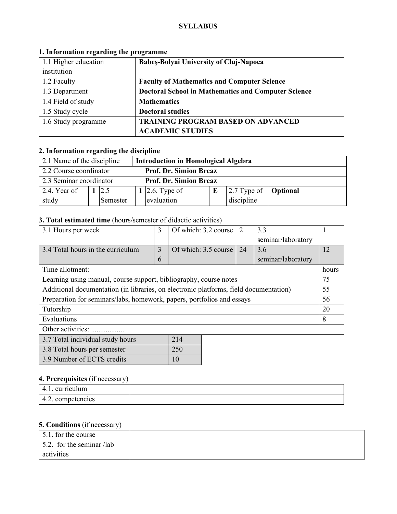#### **SYLLABUS**

| 1.1 Higher education | Babeș-Bolyai University of Cluj-Napoca                     |  |  |
|----------------------|------------------------------------------------------------|--|--|
| institution          |                                                            |  |  |
| 1.2 Faculty          | <b>Faculty of Mathematics and Computer Science</b>         |  |  |
| 1.3 Department       | <b>Doctoral School in Mathematics and Computer Science</b> |  |  |
| 1.4 Field of study   | <b>Mathematics</b>                                         |  |  |
| 1.5 Study cycle      | <b>Doctoral studies</b>                                    |  |  |
| 1.6 Study programme  | <b>TRAINING PROGRAM BASED ON ADVANCED</b>                  |  |  |
|                      | <b>ACADEMIC STUDIES</b>                                    |  |  |

#### **1. Information regarding the programme**

# **2. Information regarding the discipline**

| 2.1 Name of the discipline<br><b>Introduction in Homological Algebra</b> |                               |          |  |                |  |                                    |  |
|--------------------------------------------------------------------------|-------------------------------|----------|--|----------------|--|------------------------------------|--|
| 2.2 Course coordinator<br><b>Prof. Dr. Simion Breaz</b>                  |                               |          |  |                |  |                                    |  |
| 2.3 Seminar coordinator                                                  | <b>Prof. Dr. Simion Breaz</b> |          |  |                |  |                                    |  |
| 2.4. Year of                                                             |                               | 2.5      |  | 1 2.6. Type of |  | $ 2.7$ Type of $ $ <b>Optional</b> |  |
| study                                                                    |                               | Semester |  | evaluation     |  | discipline                         |  |

### **3. Total estimated time** (hours/semester of didactic activities)

| 3.1 Hours per week                                                                    | 3 | Of which: 3.2 course | $\mathcal{D}$ | 3.3                |       |
|---------------------------------------------------------------------------------------|---|----------------------|---------------|--------------------|-------|
|                                                                                       |   |                      |               | seminar/laboratory |       |
| 3.4 Total hours in the curriculum                                                     | 3 | Of which: 3.5 course | 24            | 3.6                | 12    |
|                                                                                       | 6 |                      |               | seminar/laboratory |       |
| Time allotment:                                                                       |   |                      |               |                    | hours |
| Learning using manual, course support, bibliography, course notes                     |   |                      |               |                    | 75    |
| Additional documentation (in libraries, on electronic platforms, field documentation) |   |                      |               |                    | 55    |
| Preparation for seminars/labs, homework, papers, portfolios and essays                |   |                      |               |                    | 56    |
| Tutorship                                                                             |   |                      |               |                    | 20    |
| Evaluations                                                                           |   |                      |               |                    | 8     |
| Other activities:                                                                     |   |                      |               |                    |       |
| 3.7 Total individual study hours                                                      |   | 214                  |               |                    |       |
| 3.8 Total hours per semester                                                          |   | 250                  |               |                    |       |

#### **4. Prerequisites** (if necessary)

3.9 Number of ECTS credits 10

| . <i>.</i>        |  |
|-------------------|--|
| curriculum        |  |
| competencies<br>. |  |

### **5. Conditions** (if necessary)

| 5.1. for the course               |  |
|-----------------------------------|--|
| $\vert$ 5.2. for the seminar /lab |  |
| activities                        |  |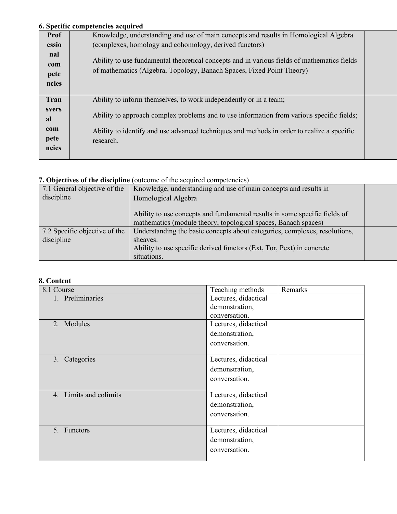## **6. Specific competencies acquired**

|                                             | о эреспи сошрекшего асqun са                                                                                                                                                                                                                                              |  |
|---------------------------------------------|---------------------------------------------------------------------------------------------------------------------------------------------------------------------------------------------------------------------------------------------------------------------------|--|
| <b>Prof</b>                                 | Knowledge, understanding and use of main concepts and results in Homological Algebra                                                                                                                                                                                      |  |
| essio                                       | (complexes, homology and cohomology, derived functors)                                                                                                                                                                                                                    |  |
| nal<br>com<br>pete<br>ncies                 | Ability to use fundamental theoretical concepts and in various fields of mathematics fields<br>of mathematics (Algebra, Topology, Banach Spaces, Fixed Point Theory)                                                                                                      |  |
| Tran<br>svers<br>al<br>com<br>pete<br>ncies | Ability to inform themselves, to work independently or in a team;<br>Ability to approach complex problems and to use information from various specific fields;<br>Ability to identify and use advanced techniques and methods in order to realize a specific<br>research. |  |

# **7. Objectives of the discipline** (outcome of the acquired competencies)

| 7.1 General objective of the  | Knowledge, understanding and use of main concepts and results in           |  |
|-------------------------------|----------------------------------------------------------------------------|--|
| discipline                    | Homological Algebra                                                        |  |
|                               |                                                                            |  |
|                               | Ability to use concepts and fundamental results in some specific fields of |  |
|                               | mathematics (module theory, topological spaces, Banach spaces)             |  |
| 7.2 Specific objective of the | Understanding the basic concepts about categories, complexes, resolutions, |  |
| discipline                    | sheaves.                                                                   |  |
|                               | Ability to use specific derived functors (Ext, Tor, Pext) in concrete      |  |
|                               | situations.                                                                |  |

## **8. Content**

| 8.1 Course             | Teaching methods     | Remarks |
|------------------------|----------------------|---------|
| 1. Preliminaries       | Lectures, didactical |         |
|                        | demonstration,       |         |
|                        | conversation.        |         |
| 2. Modules             | Lectures, didactical |         |
|                        | demonstration,       |         |
|                        | conversation.        |         |
|                        |                      |         |
| 3. Categories          | Lectures, didactical |         |
|                        | demonstration,       |         |
|                        | conversation.        |         |
|                        |                      |         |
| 4. Limits and colimits | Lectures, didactical |         |
|                        | demonstration,       |         |
|                        | conversation.        |         |
|                        |                      |         |
| 5. Functors            | Lectures, didactical |         |
|                        | demonstration,       |         |
|                        | conversation.        |         |
|                        |                      |         |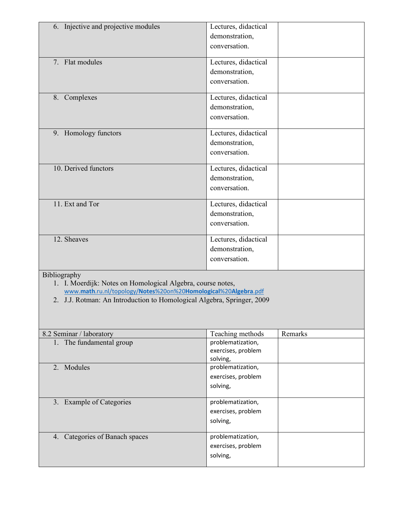| 6. Injective and projective modules                                                                                                      | Lectures, didactical                    |         |
|------------------------------------------------------------------------------------------------------------------------------------------|-----------------------------------------|---------|
|                                                                                                                                          | demonstration,                          |         |
|                                                                                                                                          | conversation.                           |         |
| 7. Flat modules                                                                                                                          | Lectures, didactical                    |         |
|                                                                                                                                          | demonstration,                          |         |
|                                                                                                                                          | conversation.                           |         |
| 8. Complexes                                                                                                                             | Lectures, didactical                    |         |
|                                                                                                                                          | demonstration,                          |         |
|                                                                                                                                          | conversation.                           |         |
| 9. Homology functors                                                                                                                     | Lectures, didactical                    |         |
|                                                                                                                                          | demonstration,                          |         |
|                                                                                                                                          | conversation.                           |         |
| 10. Derived functors                                                                                                                     | Lectures, didactical                    |         |
|                                                                                                                                          | demonstration,                          |         |
|                                                                                                                                          | conversation.                           |         |
| 11. Ext and Tor                                                                                                                          | Lectures, didactical                    |         |
|                                                                                                                                          | demonstration,                          |         |
|                                                                                                                                          | conversation.                           |         |
| 12. Sheaves                                                                                                                              | Lectures, didactical                    |         |
|                                                                                                                                          | demonstration,                          |         |
|                                                                                                                                          | conversation.                           |         |
| Bibliography                                                                                                                             |                                         |         |
| 1. I. Moerdijk: Notes on Homological Algebra, course notes,                                                                              |                                         |         |
| www.math.ru.nl/topology/Notes%20on%20Homological%20Algebra.pdf<br>2. J.J. Rotman: An Introduction to Homological Algebra, Springer, 2009 |                                         |         |
|                                                                                                                                          |                                         |         |
|                                                                                                                                          |                                         |         |
| 8.2 Seminar / laboratory                                                                                                                 | Teaching methods                        | Remarks |
| 1. The fundamental group                                                                                                                 | problematization,                       |         |
|                                                                                                                                          | exercises, problem                      |         |
|                                                                                                                                          | solving,                                |         |
| 2. Modules                                                                                                                               | problematization,<br>exercises, problem |         |
|                                                                                                                                          | solving,                                |         |
|                                                                                                                                          |                                         |         |
| 3. Example of Categories                                                                                                                 | problematization,                       |         |
|                                                                                                                                          | exercises, problem                      |         |
|                                                                                                                                          | solving,                                |         |
| 4. Categories of Banach spaces                                                                                                           | problematization,                       |         |
|                                                                                                                                          |                                         |         |
|                                                                                                                                          | exercises, problem                      |         |
|                                                                                                                                          | solving,                                |         |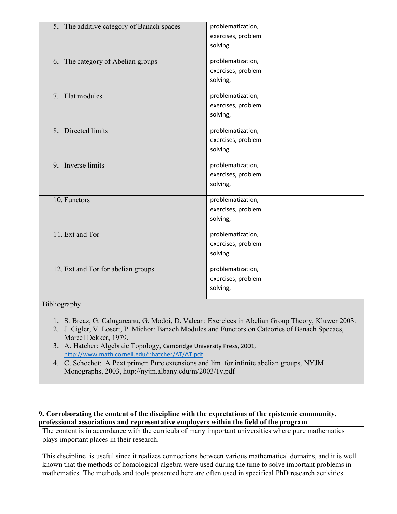| 5. The additive category of Banach spaces | problematization,<br>exercises, problem<br>solving, |
|-------------------------------------------|-----------------------------------------------------|
| 6. The category of Abelian groups         | problematization,<br>exercises, problem<br>solving, |
| 7. Flat modules                           | problematization,<br>exercises, problem<br>solving, |
| 8. Directed limits                        | problematization,<br>exercises, problem<br>solving, |
| 9. Inverse limits                         | problematization,<br>exercises, problem<br>solving, |
| 10. Functors                              | problematization,<br>exercises, problem<br>solving, |
| 11. Ext and Tor                           | problematization,<br>exercises, problem<br>solving, |
| 12. Ext and Tor for abelian groups        | problematization,<br>exercises, problem<br>solving, |

### Bibliography

- 1. S. Breaz, G. Calugareanu, G. Modoi, D. Valcan: Exercices in Abelian Group Theory, Kluwer 2003.
- 2. J. Cigler, V. Losert, P. Michor: Banach Modules and Functors on Cateories of Banach Specaes, Marcel Dekker, 1979.
- 3. A. Hatcher: Algebraic Topology, Cambridge University Press, 2001, http://www.math.cornell.edu/~hatcher/AT/AT.pdf
- 4. C. Schochet: A Pext primer: Pure extensions and  $\lim^1$  for infinite abelian groups, NYJM Monographs, 2003, http://nyjm.albany.edu/m/2003/1v.pdf

#### **9. Corroborating the content of the discipline with the expectations of the epistemic community, professional associations and representative employers within the field of the program**

The content is in accordance with the curricula of many important universities where pure mathematics plays important places in their research.

This discipline is useful since it realizes connections between various mathematical domains, and it is well known that the methods of homological algebra were used during the time to solve important problems in mathematics. The methods and tools presented here are often used in specifical PhD research activities.